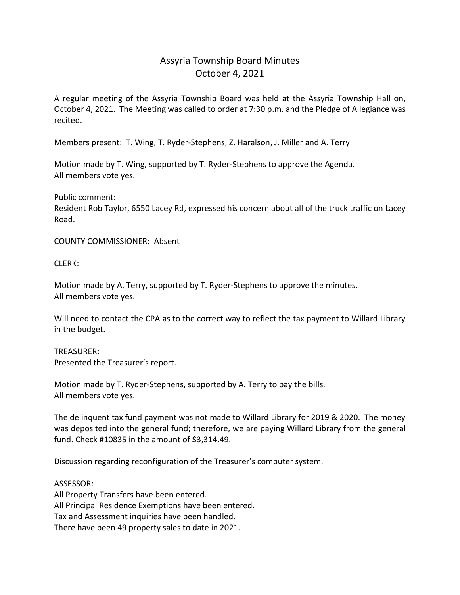## Assyria Township Board Minutes October 4, 2021

A regular meeting of the Assyria Township Board was held at the Assyria Township Hall on, October 4, 2021. The Meeting was called to order at 7:30 p.m. and the Pledge of Allegiance was recited.

Members present: T. Wing, T. Ryder-Stephens, Z. Haralson, J. Miller and A. Terry

Motion made by T. Wing, supported by T. Ryder-Stephens to approve the Agenda. All members vote yes.

Public comment: Resident Rob Taylor, 6550 Lacey Rd, expressed his concern about all of the truck traffic on Lacey Road.

COUNTY COMMISSIONER: Absent

CLERK:

Motion made by A. Terry, supported by T. Ryder-Stephens to approve the minutes. All members vote yes.

Will need to contact the CPA as to the correct way to reflect the tax payment to Willard Library in the budget.

TREASURER: Presented the Treasurer's report.

Motion made by T. Ryder-Stephens, supported by A. Terry to pay the bills. All members vote yes.

The delinquent tax fund payment was not made to Willard Library for 2019 & 2020. The money was deposited into the general fund; therefore, we are paying Willard Library from the general fund. Check #10835 in the amount of \$3,314.49.

Discussion regarding reconfiguration of the Treasurer's computer system.

ASSESSOR:

All Property Transfers have been entered. All Principal Residence Exemptions have been entered. Tax and Assessment inquiries have been handled. There have been 49 property sales to date in 2021.